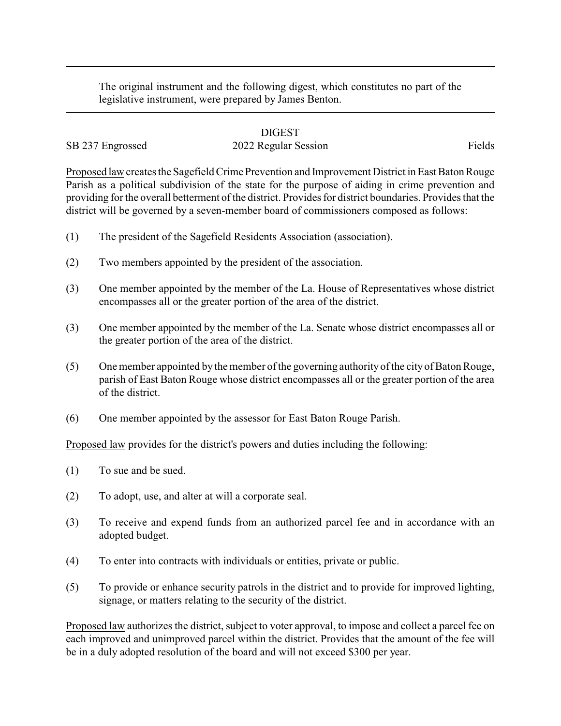The original instrument and the following digest, which constitutes no part of the legislative instrument, were prepared by James Benton.

## DIGEST

## SB 237 Engrossed 2022 Regular Session Fields

Proposed law creates the Sagefield Crime Prevention and Improvement District in East Baton Rouge Parish as a political subdivision of the state for the purpose of aiding in crime prevention and providing for the overall betterment of the district. Provides for district boundaries. Provides that the district will be governed by a seven-member board of commissioners composed as follows:

- (1) The president of the Sagefield Residents Association (association).
- (2) Two members appointed by the president of the association.
- (3) One member appointed by the member of the La. House of Representatives whose district encompasses all or the greater portion of the area of the district.
- (3) One member appointed by the member of the La. Senate whose district encompasses all or the greater portion of the area of the district.
- (5) One member appointed by the member of the governing authority of the city of Baton Rouge, parish of East Baton Rouge whose district encompasses all or the greater portion of the area of the district.
- (6) One member appointed by the assessor for East Baton Rouge Parish.

Proposed law provides for the district's powers and duties including the following:

- (1) To sue and be sued.
- (2) To adopt, use, and alter at will a corporate seal.
- (3) To receive and expend funds from an authorized parcel fee and in accordance with an adopted budget.
- (4) To enter into contracts with individuals or entities, private or public.
- (5) To provide or enhance security patrols in the district and to provide for improved lighting, signage, or matters relating to the security of the district.

Proposed law authorizes the district, subject to voter approval, to impose and collect a parcel fee on each improved and unimproved parcel within the district. Provides that the amount of the fee will be in a duly adopted resolution of the board and will not exceed \$300 per year.